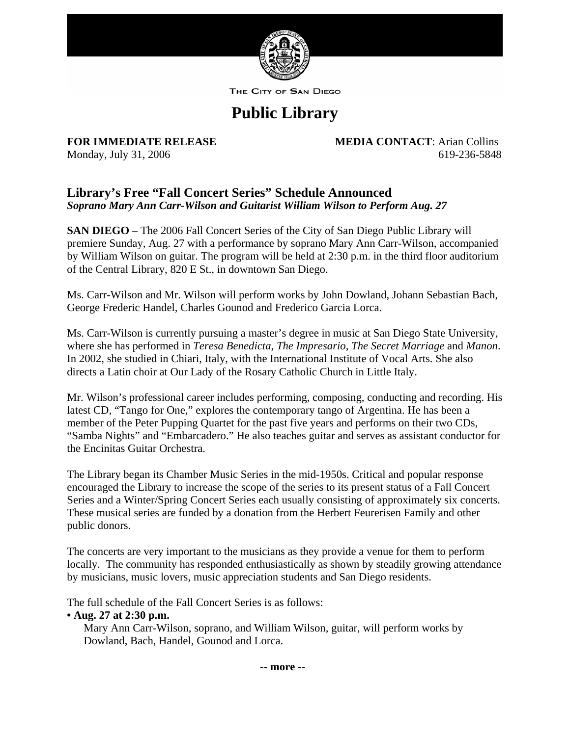

THE CITY OF SAN DIEGO

# **Public Library**

**FOR IMMEDIATE RELEASE MEDIA CONTACT**: Arian Collins Monday, July 31, 2006 619-236-5848

## **Library's Free "Fall Concert Series" Schedule Announced**  *Soprano Mary Ann Carr-Wilson and Guitarist William Wilson to Perform Aug. 27*

**SAN DIEGO** – The 2006 Fall Concert Series of the City of San Diego Public Library will premiere Sunday, Aug. 27 with a performance by soprano Mary Ann Carr-Wilson, accompanied by William Wilson on guitar. The program will be held at 2:30 p.m. in the third floor auditorium of the Central Library, 820 E St., in downtown San Diego.

Ms. Carr-Wilson and Mr. Wilson will perform works by John Dowland, Johann Sebastian Bach, George Frederic Handel, Charles Gounod and Frederico Garcia Lorca.

Ms. Carr-Wilson is currently pursuing a master's degree in music at San Diego State University, where she has performed in *Teresa Benedicta*, *The Impresario*, *The Secret Marriage* and *Manon*. In 2002, she studied in Chiari, Italy, with the International Institute of Vocal Arts. She also directs a Latin choir at Our Lady of the Rosary Catholic Church in Little Italy.

Mr. Wilson's professional career includes performing, composing, conducting and recording. His latest CD, "Tango for One," explores the contemporary tango of Argentina. He has been a member of the Peter Pupping Quartet for the past five years and performs on their two CDs, "Samba Nights" and "Embarcadero." He also teaches guitar and serves as assistant conductor for the Encinitas Guitar Orchestra.

The Library began its Chamber Music Series in the mid-1950s. Critical and popular response encouraged the Library to increase the scope of the series to its present status of a Fall Concert Series and a Winter/Spring Concert Series each usually consisting of approximately six concerts. These musical series are funded by a donation from the Herbert Feurerisen Family and other public donors.

The concerts are very important to the musicians as they provide a venue for them to perform locally. The community has responded enthusiastically as shown by steadily growing attendance by musicians, music lovers, music appreciation students and San Diego residents.

The full schedule of the Fall Concert Series is as follows:

## **• Aug. 27 at 2:30 p.m.**

Mary Ann Carr-Wilson, soprano, and William Wilson, guitar, will perform works by Dowland, Bach, Handel, Gounod and Lorca.

**-- more --**